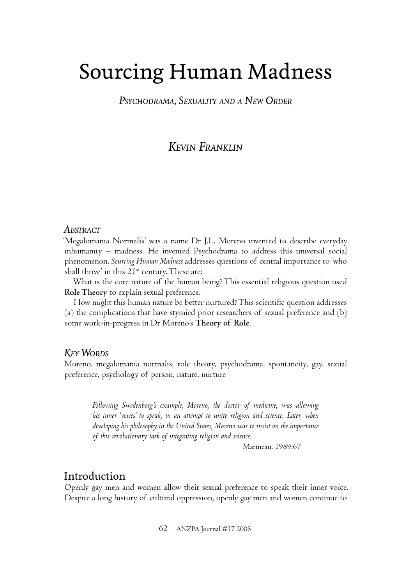# Sourcing Human Madness

*PSYCHODRAMA, SEXUALITY AND A NEW ORDER*

# *KEVIN FRANKLIN*

#### *ABSTRACT*

'Megalomania Normalis' was a name Dr J.L. Moreno invented to describe everyday inhumanity – madness. He invented Psychodrama to address this universal social phenomenon. *Sourcing Human Madness* addresses questions of central importance to 'who shall thrive' in this  $2I^{st}$  century. These are:

What is the core nature of the human being? This essential religious question used **Role Theory** to explain sexual preference.

How might this human nature be better nurtured? This scientific question addresses (a) the complications that have stymied prior researchers of sexual preference and (b) some work-in-progress in Dr Moreno's **Theory of Role**.

#### *KEY WORDS*

Moreno, megalomania normalis, role theory, psychodrama, spontaneity, gay, sexual preference, psychology of person, nature, nurture

*Following Swedenborg's example, Moreno, the doctor of medicine, was allowing his inner 'voices' to speak, in an attempt to unite religion and science. Later, when developing his philosophy in the United States, Moreno was to insist on the importance of this revolutionary task of integrating religion and science.*

Marineau, 1989:67

## Introduction

Openly gay men and women allow their sexual preference to speak their inner voice. Despite a long history of cultural oppression, openly gay men and women continue to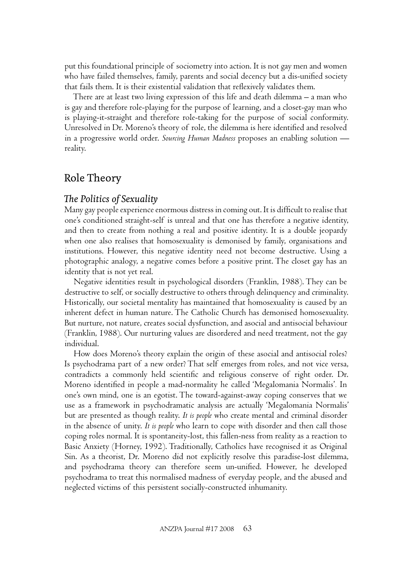put this foundational principle of sociometry into action. It is not gay men and women who have failed themselves, family, parents and social decency but a dis-unified society that fails them. It is their existential validation that reflexively validates them.

There are at least two living expression of this life and death dilemma – a man who is gay and therefore role-playing for the purpose of learning, and a closet-gay man who is playing-it-straight and therefore role-taking for the purpose of social conformity. Unresolved in Dr. Moreno's theory of role, the dilemma is here identified and resolved in a progressive world order. *Sourcing Human Madness* proposes an enabling solution reality.

# Role Theory

## **The Politics of Sexuality**

Many gay people experience enormous distress in coming out. It is difficult to realise that one's conditioned straight-self is unreal and that one has therefore a negative identity, and then to create from nothing a real and positive identity. It is a double jeopardy when one also realises that homosexuality is demonised by family, organisations and institutions. However, this negative identity need not become destructive. Using a photographic analogy, a negative comes before a positive print. The closet gay has an identity that is not yet real.

Negative identities result in psychological disorders (Franklin, 1988). They can be destructive to self, or socially destructive to others through delinquency and criminality. Historically, our societal mentality has maintained that homosexuality is caused by an inherent defect in human nature. The Catholic Church has demonised homosexuality. But nurture, not nature, creates social dysfunction, and asocial and antisocial behaviour (Franklin, 1988). Our nurturing values are disordered and need treatment, not the gay individual.

How does Moreno's theory explain the origin of these asocial and antisocial roles? Is psychodrama part of a new order? That self emerges from roles, and not vice versa, contradicts a commonly held scientific and religious conserve of right order. Dr. Moreno identified in people a mad-normality he called 'Megalomania Normalis'. In one's own mind, one is an egotist. The toward-against-away coping conserves that we use as a framework in psychodramatic analysis are actually 'Megalomania Normalis' but are presented as though reality. *It is people* who create mental and criminal disorder in the absence of unity. *It is people* who learn to cope with disorder and then call those coping roles normal. It is spontaneity-lost, this fallen-ness from reality as a reaction to Basic Anxiety (Horney, 1992). Traditionally, Catholics have recognised it as Original Sin. As a theorist, Dr. Moreno did not explicitly resolve this paradise-lost dilemma, and psychodrama theory can therefore seem un-unified. However, he developed psychodrama to treat this normalised madness of everyday people, and the abused and neglected victims of this persistent socially-constructed inhumanity.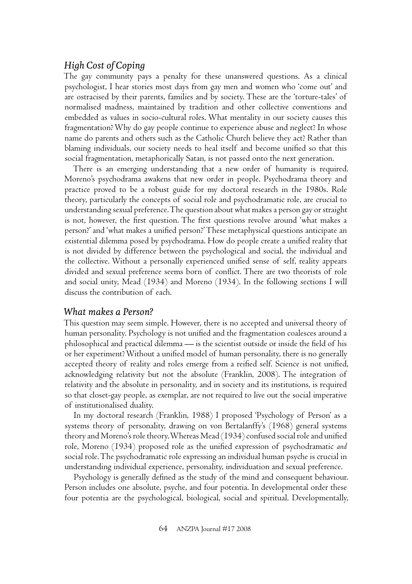## *High Cost of Coping*

The gay community pays a penalty for these unanswered questions. As a clinical psychologist, I hear stories most days from gay men and women who 'come out' and are ostracised by their parents, families and by society. These are the 'torture-tales' of normalised madness, maintained by tradition and other collective conventions and embedded as values in socio-cultural roles. What mentality in our society causes this fragmentation? Why do gay people continue to experience abuse and neglect? In whose name do parents and others such as the Catholic Church believe they act? Rather than blaming individuals, our society needs to heal itself and become unified so that this social fragmentation, metaphorically Satan, is not passed onto the next generation.

There is an emerging understanding that a new order of humanity is required. Moreno's psychodrama awakens that new order in people. Psychodrama theory and practice proved to be a robust guide for my doctoral research in the 1980s. Role theory, particularly the concepts of social role and psychodramatic role, are crucial to understanding sexual preference. The question about what makes a person gay or straight is not, however, the first question. The first questions revolve around 'what makes a person?' and 'what makes a unified person?' These metaphysical questions anticipate an existential dilemma posed by psychodrama. How do people create a unified reality that is not divided by difference between the psychological and social, the individual and the collective. Without a personally experienced unified sense of self, reality appears divided and sexual preference seems born of conflict. There are two theorists of role and social unity, Mead (1934) and Moreno (1934). In the following sections I will discuss the contribution of each.

## *What makes a Person?*

This question may seem simple. However, there is no accepted and universal theory of human personality. Psychology is not unified and the fragmentation coalesces around a philosophical and practical dilemma — is the scientist outside or inside the field of his or her experiment? Without a unified model of human personality, there is no generally accepted theory of reality and roles emerge from a reified self. Science is not unified, acknowledging relativity but not the absolute (Franklin, 2008). The integration of relativity and the absolute in personality, and in society and its institutions, is required so that closet-gay people, as exemplar, are not required to live out the social imperative of institutionalised duality.

In my doctoral research (Franklin, 1988) I proposed 'Psychology of Person' as a systems theory of personality, drawing on von Bertalanffy's (1968) general systems theory and Moreno's role theory. Whereas Mead (1934) confused social role and unified role, Moreno (1934) proposed role as the unified expression of psychodramatic *and* social role. The psychodramatic role expressing an individual human psyche is crucial in understanding individual experience, personality, individuation and sexual preference.

Psychology is generally defined as the study of the mind and consequent behaviour. Person includes one absolute, psyche, and four potentia. In developmental order these four potentia are the psychological, biological, social and spiritual. Developmentally,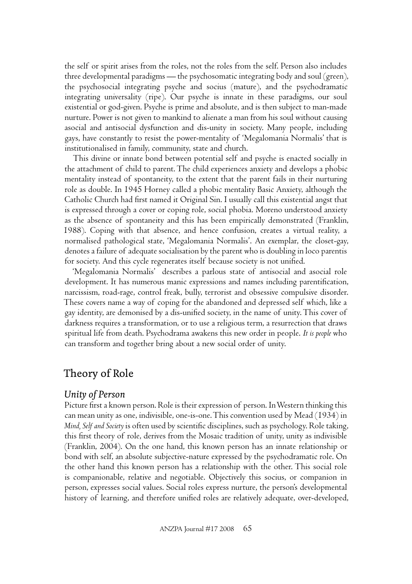the self or spirit arises from the roles, not the roles from the self. Person also includes three developmental paradigms — the psychosomatic integrating body and soul (green), the psychosocial integrating psyche and socius (mature), and the psychodramatic integrating universality (ripe). Our psyche is innate in these paradigms, our soul existential or god-given. Psyche is prime and absolute, and is then subject to man-made nurture. Power is not given to mankind to alienate a man from his soul without causing asocial and antisocial dysfunction and dis-unity in society. Many people, including gays, have constantly to resist the power-mentality of 'Megalomania Normalis' that is institutionalised in family, community, state and church.

This divine or innate bond between potential self and psyche is enacted socially in the attachment of child to parent. The child experiences anxiety and develops a phobic mentality instead of spontaneity, to the extent that the parent fails in their nurturing role as double. In 1945 Horney called a phobic mentality Basic Anxiety, although the Catholic Church had first named it Original Sin. I usually call this existential angst that is expressed through a cover or coping role, social phobia. Moreno understood anxiety as the absence of spontaneity and this has been empirically demonstrated (Franklin, 1988). Coping with that absence, and hence confusion, creates a virtual reality, a normalised pathological state, 'Megalomania Normalis'. An exemplar, the closet-gay, denotes a failure of adequate socialisation by the parent who is doubling in loco parentis for society. And this cycle regenerates itself because society is not unified.

'Megalomania Normalis' describes a parlous state of antisocial and asocial role development. It has numerous manic expressions and names including parentification, narcissism, road-rage, control freak, bully, terrorist and obsessive compulsive disorder. These covers name a way of coping for the abandoned and depressed self which, like a gay identity, are demonised by a dis-unified society, in the name of unity. This cover of darkness requires a transformation, or to use a religious term, a resurrection that draws spiritual life from death. Psychodrama awakens this new order in people. *It is people* who can transform and together bring about a new social order of unity.

# Theory of Role

#### *Unity of Person*

Picture first a known person. Role is their expression of person. In Western thinking this can mean unity as one, indivisible, one-is-one. This convention used by Mead (1934) in *Mind, Self and Society* is often used by scientific disciplines, such as psychology. Role taking, this first theory of role, derives from the Mosaic tradition of unity, unity as indivisible (Franklin, 2004). On the one hand, this known person has an innate relationship or bond with self, an absolute subjective-nature expressed by the psychodramatic role. On the other hand this known person has a relationship with the other. This social role is companionable, relative and negotiable. Objectively this socius, or companion in person, expresses social values. Social roles express nurture, the person's developmental history of learning, and therefore unified roles are relatively adequate, over-developed,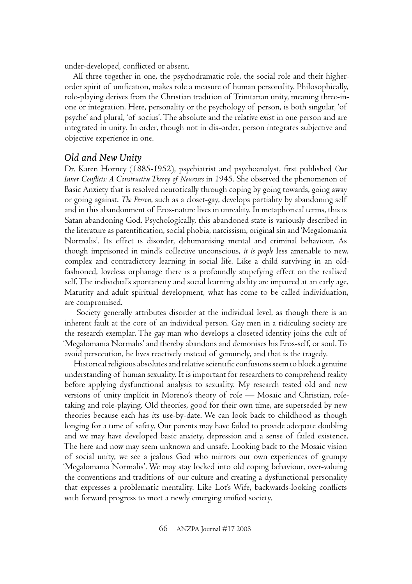under-developed, conflicted or absent.

All three together in one, the psychodramatic role, the social role and their higherorder spirit of unification, makes role a measure of human personality. Philosophically, role-playing derives from the Christian tradition of Trinitarian unity, meaning three-inone or integration. Here, personality or the psychology of person, is both singular, 'of psyche' and plural, 'of socius'. The absolute and the relative exist in one person and are integrated in unity. In order, though not in dis-order, person integrates subjective and objective experience in one.

#### *Old and New Unity*

Dr. Karen Horney (1885-1952), psychiatrist and psychoanalyst, first published Our *Inner Conflicts: A Constructive Theory of Neuroses* in 1945. She observed the phenomenon of Basic Anxiety that is resolved neurotically through coping by going towards, going away or going against. *The Person*, such as a closet-gay, develops partiality by abandoning self and in this abandonment of Eros-nature lives in unreality. In metaphorical terms, this is Satan abandoning God. Psychologically, this abandoned state is variously described in the literature as parentification, social phobia, narcissism, original sin and 'Megalomania Normalis'. Its effect is disorder, dehumanising mental and criminal behaviour. As though imprisoned in mind's collective unconscious, *it is people* less amenable to new, complex and contradictory learning in social life. Like a child surviving in an oldfashioned, loveless orphanage there is a profoundly stupefying effect on the realised self. The individual's spontaneity and social learning ability are impaired at an early age. Maturity and adult spiritual development, what has come to be called individuation, are compromised.

 Society generally attributes disorder at the individual level, as though there is an inherent fault at the core of an individual person. Gay men in a ridiculing society are the research exemplar. The gay man who develops a closeted identity joins the cult of 'Megalomania Normalis' and thereby abandons and demonises his Eros-self, or soul. To avoid persecution, he lives reactively instead of genuinely, and that is the tragedy.

Historical religious absolutes and relative scientific confusions seem to block a genuine understanding of human sexuality. It is important for researchers to comprehend reality before applying dysfunctional analysis to sexuality. My research tested old and new versions of unity implicit in Moreno's theory of role — Mosaic and Christian, roletaking and role-playing. Old theories, good for their own time, are superseded by new theories because each has its use-by-date. We can look back to childhood as though longing for a time of safety. Our parents may have failed to provide adequate doubling and we may have developed basic anxiety, depression and a sense of failed existence. The here and now may seem unknown and unsafe. Looking back to the Mosaic vision of social unity, we see a jealous God who mirrors our own experiences of grumpy 'Megalomania Normalis'. We may stay locked into old coping behaviour, over-valuing the conventions and traditions of our culture and creating a dysfunctional personality that expresses a problematic mentality. Like Lot's Wife, backwards-looking conflicts with forward progress to meet a newly emerging unified society.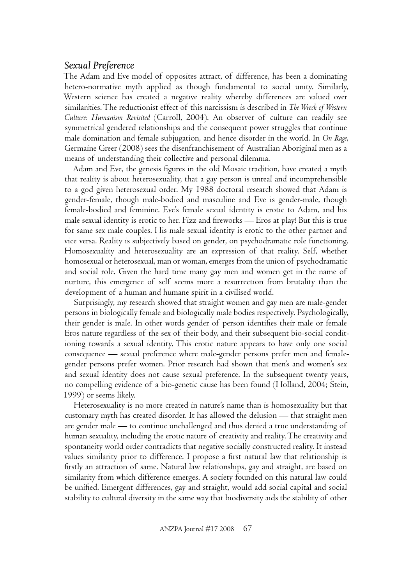#### *Sexual Preference*

The Adam and Eve model of opposites attract, of difference, has been a dominating hetero-normative myth applied as though fundamental to social unity. Similarly, Western science has created a negative reality whereby differences are valued over similarities. The reductionist effect of this narcissism is described in *The Wreck of Western Culture: Humanism Revisited* (Carroll, 2004). An observer of culture can readily see symmetrical gendered relationships and the consequent power struggles that continue male domination and female subjugation, and hence disorder in the world. In *On Rage*, Germaine Greer (2008) sees the disenfranchisement of Australian Aboriginal men as a means of understanding their collective and personal dilemma.

Adam and Eve, the genesis figures in the old Mosaic tradition, have created a myth that reality is about heterosexuality, that a gay person is unreal and incomprehensible to a god given heterosexual order. My 1988 doctoral research showed that Adam is gender-female, though male-bodied and masculine and Eve is gender-male, though female-bodied and feminine. Eve's female sexual identity is erotic to Adam, and his male sexual identity is erotic to her. Fizz and fireworks — Eros at play! But this is true for same sex male couples. His male sexual identity is erotic to the other partner and vice versa. Reality is subjectively based on gender, on psychodramatic role functioning. Homosexuality and heterosexuality are an expression of that reality. Self, whether homosexual or heterosexual, man or woman, emerges from the union of psychodramatic and social role. Given the hard time many gay men and women get in the name of nurture, this emergence of self seems more a resurrection from brutality than the development of a human and humane spirit in a civilised world.

Surprisingly, my research showed that straight women and gay men are male-gender persons in biologically female and biologically male bodies respectively. Psychologically, their gender is male. In other words gender of person identifies their male or female Eros nature regardless of the sex of their body, and their subsequent bio-social conditioning towards a sexual identity. This erotic nature appears to have only one social consequence — sexual preference where male-gender persons prefer men and femalegender persons prefer women. Prior research had shown that men's and women's sex and sexual identity does not cause sexual preference. In the subsequent twenty years, no compelling evidence of a bio-genetic cause has been found (Holland, 2004; Stein, 1999) or seems likely.

Heterosexuality is no more created in nature's name than is homosexuality but that customary myth has created disorder. It has allowed the delusion — that straight men are gender male — to continue unchallenged and thus denied a true understanding of human sexuality, including the erotic nature of creativity and reality. The creativity and spontaneity world order contradicts that negative socially constructed reality. It instead values similarity prior to difference. I propose a first natural law that relationship is firstly an attraction of same. Natural law relationships, gay and straight, are based on similarity from which difference emerges. A society founded on this natural law could be unified. Emergent differences, gay and straight, would add social capital and social stability to cultural diversity in the same way that biodiversity aids the stability of other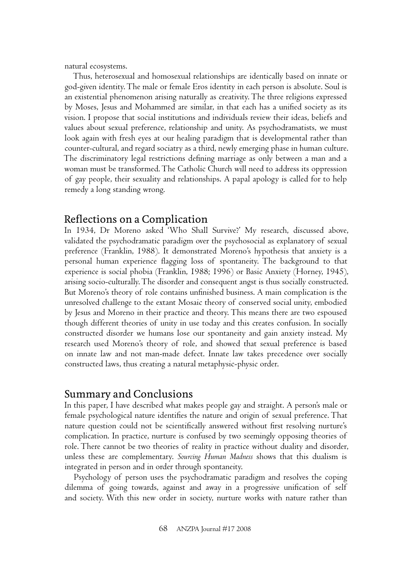natural ecosystems.

Thus, heterosexual and homosexual relationships are identically based on innate or god-given identity. The male or female Eros identity in each person is absolute. Soul is an existential phenomenon arising naturally as creativity. The three religions expressed by Moses, Jesus and Mohammed are similar, in that each has a unified society as its vision. I propose that social institutions and individuals review their ideas, beliefs and values about sexual preference, relationship and unity. As psychodramatists, we must look again with fresh eyes at our healing paradigm that is developmental rather than counter-cultural, and regard sociatry as a third, newly emerging phase in human culture. The discriminatory legal restrictions defining marriage as only between a man and a woman must be transformed. The Catholic Church will need to address its oppression of gay people, their sexuality and relationships. A papal apology is called for to help remedy a long standing wrong.

## Reflections on a Complication

In 1934, Dr Moreno asked 'Who Shall Survive?' My research, discussed above, validated the psychodramatic paradigm over the psychosocial as explanatory of sexual preference (Franklin, 1988). It demonstrated Moreno's hypothesis that anxiety is a personal human experience flagging loss of spontaneity. The background to that experience is social phobia (Franklin, 1988; 1996) or Basic Anxiety (Horney, 1945), arising socio-culturally.The disorder and consequent angst is thus socially constructed. But Moreno's theory of role contains unfinished business. A main complication is the unresolved challenge to the extant Mosaic theory of conserved social unity, embodied by Jesus and Moreno in their practice and theory. This means there are two espoused though different theories of unity in use today and this creates confusion. In socially constructed disorder we humans lose our spontaneity and gain anxiety instead. My research used Moreno's theory of role, and showed that sexual preference is based on innate law and not man-made defect. Innate law takes precedence over socially constructed laws, thus creating a natural metaphysic-physic order.

## Summary and Conclusions

In this paper, I have described what makes people gay and straight. A person's male or female psychological nature identifies the nature and origin of sexual preference. That nature question could not be scientifically answered without first resolving nurture's complication. In practice, nurture is confused by two seemingly opposing theories of role. There cannot be two theories of reality in practice without duality and disorder, unless these are complementary. *Sourcing Human Madness* shows that this dualism is integrated in person and in order through spontaneity.

Psychology of person uses the psychodramatic paradigm and resolves the coping dilemma of going towards, against and away in a progressive unification of self and society. With this new order in society, nurture works with nature rather than